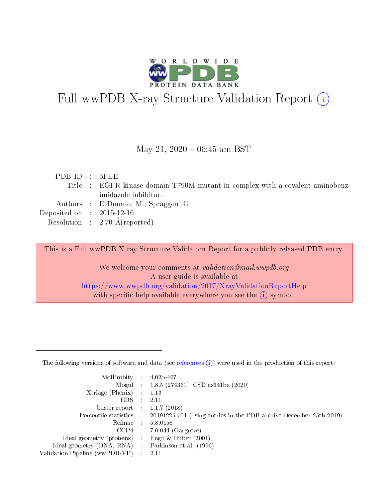

# Full wwPDB X-ray Structure Validation Report (i)

#### May 21,  $2020 - 06:45$  am BST

| PDBID : 5FEE                |                                                                               |
|-----------------------------|-------------------------------------------------------------------------------|
|                             | Title : EGFR kinase domain T790M mutant in complex with a covalent aminobenz- |
|                             | imidazole inhibitor.                                                          |
|                             | Authors : DiDonato, M.; Spraggon, G.                                          |
| Deposited on : $2015-12-16$ |                                                                               |
|                             | Resolution : $2.70 \text{ Å}$ (reported)                                      |
|                             |                                                                               |

This is a Full wwPDB X-ray Structure Validation Report for a publicly released PDB entry.

We welcome your comments at validation@mail.wwpdb.org A user guide is available at <https://www.wwpdb.org/validation/2017/XrayValidationReportHelp> with specific help available everywhere you see the  $(i)$  symbol.

The following versions of software and data (see [references](https://www.wwpdb.org/validation/2017/XrayValidationReportHelp#references)  $(1)$ ) were used in the production of this report:

| MolProbity :                   |               | $4.02b - 467$                                                                |
|--------------------------------|---------------|------------------------------------------------------------------------------|
|                                |               | Mogul : $1.8.5$ (274361), CSD as 541be (2020)                                |
| Xtriage (Phenix)               | $\mathcal{L}$ | 1.13                                                                         |
| EDS.                           |               | 2.11                                                                         |
| buster-report : $1.1.7$ (2018) |               |                                                                              |
| Percentile statistics :        |               | $20191225 \text{ v}01$ (using entries in the PDB archive December 25th 2019) |
| Refmac :                       |               | 5.8.0158                                                                     |
| CCP4                           |               | $7.0.044$ (Gargrove)                                                         |
| Ideal geometry (proteins) :    |               | Engh $\&$ Huber (2001)                                                       |
| Ideal geometry (DNA, RNA) :    |               | Parkinson et al. (1996)                                                      |
| Validation Pipeline (wwPDB-VP) | $\mathcal{L}$ | 2.11                                                                         |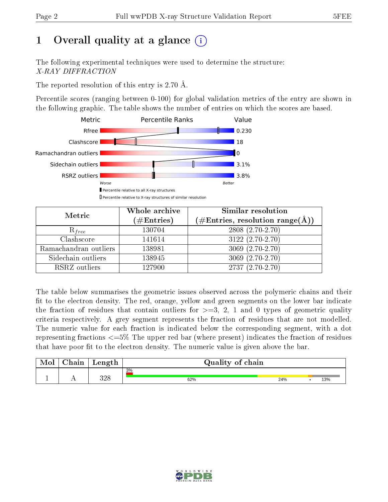# 1 [O](https://www.wwpdb.org/validation/2017/XrayValidationReportHelp#overall_quality)verall quality at a glance  $(i)$

The following experimental techniques were used to determine the structure: X-RAY DIFFRACTION

The reported resolution of this entry is 2.70 Å.

Percentile scores (ranging between 0-100) for global validation metrics of the entry are shown in the following graphic. The table shows the number of entries on which the scores are based.



| Metric                | Whole archive<br>$(\#\text{Entries})$ | Similar resolution<br>$(\#\text{Entries},\,\text{resolution}\,\,\text{range}(\textup{\AA}))$ |
|-----------------------|---------------------------------------|----------------------------------------------------------------------------------------------|
| $R_{free}$            | 130704                                | $2808(2.70-2.70)$                                                                            |
| Clashscore            | 141614                                | $3122(2.70-2.70)$                                                                            |
| Ramachandran outliers | 138981                                | $3069(2.70-2.70)$                                                                            |
| Sidechain outliers    | 138945                                | $3069(2.70-2.70)$                                                                            |
| RSRZ outliers         | 127900                                | $2737(2.70-2.70)$                                                                            |

The table below summarises the geometric issues observed across the polymeric chains and their fit to the electron density. The red, orange, yellow and green segments on the lower bar indicate the fraction of residues that contain outliers for  $>=3, 2, 1$  and 0 types of geometric quality criteria respectively. A grey segment represents the fraction of residues that are not modelled. The numeric value for each fraction is indicated below the corresponding segment, with a dot representing fractions  $\epsilon=5\%$  The upper red bar (where present) indicates the fraction of residues that have poor fit to the electron density. The numeric value is given above the bar.

| Mol | $\cap$ hain | Length      | Quality of chain |     |     |
|-----|-------------|-------------|------------------|-----|-----|
| л.  | . .         | າ ດ໐<br>J∠C | 3%<br>62%        | 24% | 13% |

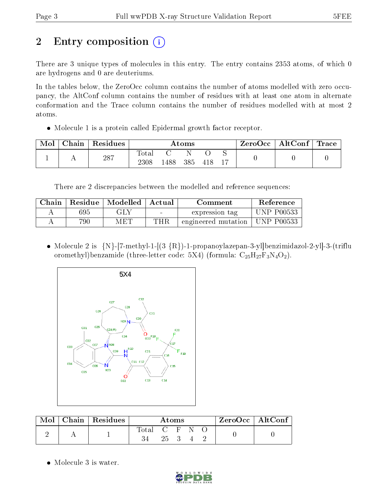# 2 Entry composition  $\left( \cdot \right)$

There are 3 unique types of molecules in this entry. The entry contains 2353 atoms, of which 0 are hydrogens and 0 are deuteriums.

In the tables below, the ZeroOcc column contains the number of atoms modelled with zero occupancy, the AltConf column contains the number of residues with at least one atom in alternate conformation and the Trace column contains the number of residues modelled with at most 2 atoms.

Molecule 1 is a protein called Epidermal growth factor receptor.

| Mol | $\perp$ Chain $\perp$ | Residues | Atoms         |      |     |     | $\text{ZeroOcc} \mid \text{AltConf} \mid \text{Trace} \mid$ |  |  |
|-----|-----------------------|----------|---------------|------|-----|-----|-------------------------------------------------------------|--|--|
|     |                       | 287      | Total<br>2308 | .488 | 385 | 418 |                                                             |  |  |

There are 2 discrepancies between the modelled and reference sequences:

| Chain |     | Residue   Modelled | ' Actual<br>Comment |                     | Reference         |
|-------|-----|--------------------|---------------------|---------------------|-------------------|
|       | 695 | GLY                |                     | expression tag      | <b>UNP P00533</b> |
|       | 790 | MET                | THR                 | engineered mutation | † UNP P00533      |

• Molecule 2 is  ${N}$ -[7-methyl-1-[(3  ${R}$ )-1-propanoylazepan-3-yl]benzimidazol-2-yl]-3-(triflu oromethyl)benzamide (three-letter code: 5X4) (formula:  $C_{25}H_{27}F_3N_4O_2$ ).



| $\text{Mol}$ | $\mid$ Chain   Residues $\mid$ | Atoms         |  |  |        | $ZeroOcc \mid AltConf \mid$ |  |
|--------------|--------------------------------|---------------|--|--|--------|-----------------------------|--|
|              |                                | Total C F N O |  |  | 25 3 4 |                             |  |

• Molecule 3 is water.

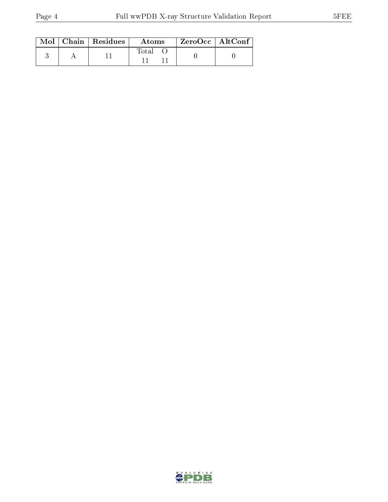|  | $\text{Mol}$   Chain   Residues | Atoms | $\mid$ ZeroOcc $\mid$ AltConf $\mid$ |
|--|---------------------------------|-------|--------------------------------------|
|  |                                 | Total |                                      |

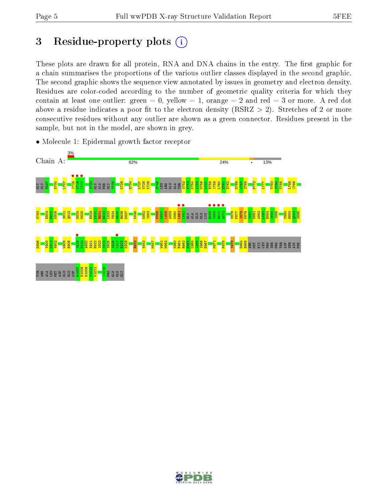## 3 Residue-property plots  $(i)$

These plots are drawn for all protein, RNA and DNA chains in the entry. The first graphic for a chain summarises the proportions of the various outlier classes displayed in the second graphic. The second graphic shows the sequence view annotated by issues in geometry and electron density. Residues are color-coded according to the number of geometric quality criteria for which they contain at least one outlier: green  $= 0$ , yellow  $= 1$ , orange  $= 2$  and red  $= 3$  or more. A red dot above a residue indicates a poor fit to the electron density (RSRZ  $> 2$ ). Stretches of 2 or more consecutive residues without any outlier are shown as a green connector. Residues present in the sample, but not in the model, are shown in grey.



• Molecule 1: Epidermal growth factor receptor

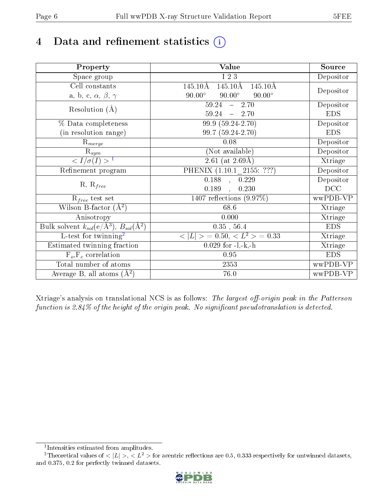## 4 Data and refinement statistics  $(i)$

| Property                                                             | Value                                               | Source     |
|----------------------------------------------------------------------|-----------------------------------------------------|------------|
| Space group                                                          | I 2 3                                               | Depositor  |
| Cell constants                                                       | $145.10\text{\AA}$<br>145.10Å<br>$145.10\text{\AA}$ |            |
| a, b, c, $\alpha$ , $\beta$ , $\gamma$                               | $90.00^\circ$<br>$90.00^\circ$<br>$90.00^\circ$     | Depositor  |
| Resolution $(A)$                                                     | $59.24 - 2.70$                                      | Depositor  |
|                                                                      | 59.24<br>$-2.70$                                    | <b>EDS</b> |
| % Data completeness                                                  | 99.9 (59.24-2.70)                                   | Depositor  |
| (in resolution range)                                                | 99.7 (59.24-2.70)                                   | <b>EDS</b> |
| $R_{merge}$                                                          | 0.08                                                | Depositor  |
| $\mathrm{R}_{sym}$                                                   | (Not available)                                     | Depositor  |
| $\langle I/\sigma(I) \rangle^{-1}$                                   | 2.61 (at $2.69\text{\AA})$                          | Xtriage    |
| Refinement program                                                   | PHENIX (1.10.1 2155: ???)                           | Depositor  |
|                                                                      | $0.188$ , $0.229$                                   | Depositor  |
| $R, R_{free}$                                                        | 0.189<br>0.230                                      | DCC        |
| $R_{free}$ test set                                                  | 1407 reflections $(9.97\%)$                         | wwPDB-VP   |
| Wilson B-factor $(A^2)$                                              | 68.6                                                | Xtriage    |
| Anisotropy                                                           | 0.000                                               | Xtriage    |
| Bulk solvent $k_{sol}(e/\mathring{A}^3)$ , $B_{sol}(\mathring{A}^2)$ | $0.35$ , $56.4$                                     | <b>EDS</b> |
| L-test for twinning <sup>2</sup>                                     | $>$ = 0.50, < $L^2$ > = 0.33<br>< L                 | Xtriage    |
| Estimated twinning fraction                                          | $0.029$ for $-l,-k,-h$                              | Xtriage    |
| $F_o, F_c$ correlation                                               | 0.95                                                | <b>EDS</b> |
| Total number of atoms                                                | 2353                                                | wwPDB-VP   |
| Average B, all atoms $(A^2)$                                         | 76.0                                                | wwPDB-VP   |

Xtriage's analysis on translational NCS is as follows: The largest off-origin peak in the Patterson function is  $2.84\%$  of the height of the origin peak. No significant pseudotranslation is detected.

<sup>&</sup>lt;sup>2</sup>Theoretical values of  $\langle |L| \rangle$ ,  $\langle L^2 \rangle$  for acentric reflections are 0.5, 0.333 respectively for untwinned datasets, and 0.375, 0.2 for perfectly twinned datasets.



<span id="page-5-1"></span><span id="page-5-0"></span><sup>1</sup> Intensities estimated from amplitudes.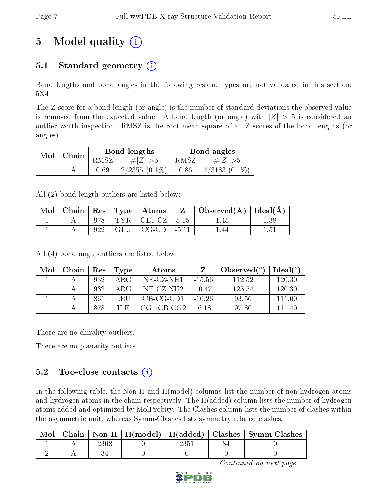# 5 Model quality  $(i)$

## 5.1 Standard geometry  $(i)$

Bond lengths and bond angles in the following residue types are not validated in this section: 5X4

The Z score for a bond length (or angle) is the number of standard deviations the observed value is removed from the expected value. A bond length (or angle) with  $|Z| > 5$  is considered an outlier worth inspection. RMSZ is the root-mean-square of all Z scores of the bond lengths (or angles).

| $Mol$   Chain |      | Bond lengths    |                     | Bond angles     |  |
|---------------|------|-----------------|---------------------|-----------------|--|
|               | RMSZ | # $ Z  > 5$     | RMSZ<br># $ Z  > 5$ |                 |  |
|               | 0.69 | $2/2355(0.1\%)$ | 0.86                | $4/3183(0.1\%)$ |  |

All (2) bond length outliers are listed below:

| Mol |  | $ $ Chain $ $ Res $ $ Type $ $ Atoms $ $ | $Z \mid$ Observed( $\AA$ )   Ideal( $\AA$ ) |               |
|-----|--|------------------------------------------|---------------------------------------------|---------------|
|     |  | 978   TYR   CE1-CZ   5.15                | 1.45                                        | 1.38          |
|     |  | $922$   GLU   CG-CD   -5.11              |                                             | $1.5^{\circ}$ |

All (4) bond angle outliers are listed below:

| Mol | Chain |     | $\vert$ Res $\vert$ Type | Atoms        |          | Observed $(°)$ | Ideal $(^{\circ}$ |
|-----|-------|-----|--------------------------|--------------|----------|----------------|-------------------|
|     |       | 932 | ARG                      | NE-CZ-NH1    | - 15 56  | 112.52         | 120.30            |
|     |       | 932 | ARG                      | NE-CZ-NH2    | 10.47    | 125.54         | 120.30            |
|     |       | 861 | L EH                     | CB-CG-CD1    | $-10.26$ | 93.56          | 111 00            |
|     |       | 878 | ILE.                     | $CG1-CB-CG2$ | -6.18    | 97.80          | 111 40            |

There are no chirality outliers.

There are no planarity outliers.

### 5.2 Too-close contacts  $(i)$

In the following table, the Non-H and H(model) columns list the number of non-hydrogen atoms and hydrogen atoms in the chain respectively. The H(added) column lists the number of hydrogen atoms added and optimized by MolProbity. The Clashes column lists the number of clashes within the asymmetric unit, whereas Symm-Clashes lists symmetry related clashes.

| Mol |  |  | Chain   Non-H   H(model)   H(added)   Clashes   Symm-Clashes |
|-----|--|--|--------------------------------------------------------------|
|     |  |  |                                                              |
|     |  |  |                                                              |

Continued on next page...

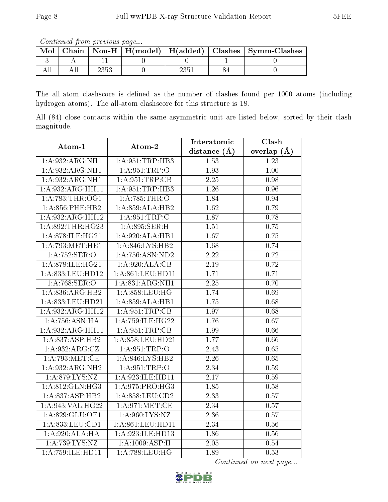Continued from previous page...

| Mol |  |  | Chain   Non-H   H(model)   H(added)   Clashes   Symm-Clashes |
|-----|--|--|--------------------------------------------------------------|
|     |  |  |                                                              |
|     |  |  |                                                              |

The all-atom clashscore is defined as the number of clashes found per 1000 atoms (including hydrogen atoms). The all-atom clashscore for this structure is 18.

All (84) close contacts within the same asymmetric unit are listed below, sorted by their clash magnitude.

| Atom-1                       | Atom-2                       | Interatomic       | Clash         |
|------------------------------|------------------------------|-------------------|---------------|
|                              |                              | distance(A)       | overlap $(A)$ |
| 1:A:932:ARG:NH1              | 1: A:951:TRP:HB3             | 1.53              | 1.23          |
| $1:A:932:A\overline{R}G:NH1$ | 1: A:951:TRP:O               | 1.93              | 1.00          |
| 1:A:932:ARG:NH1              | 1: A:951:TRP:CB              | 2.25              | 0.98          |
| 1:A:932:ARG:HH11             | 1:A:951:TRP:HB3              | 1.26              | 0.96          |
| 1: A:783:THR:OG1             | 1:A:785:THR:O                | 1.84              | 0.94          |
| $1: A:856:$ PHE:HB2          | 1:A:859:ALA:HB2              | 1.62              | 0.79          |
| 1:A:932:ARG:HH12             | 1: A:951:TRP:C               | 1.87              | 0.78          |
| 1: A:892:THR:HG23            | 1: A:895: SER:H              | 1.51              | 0.75          |
| 1:A:878:ILE:HG21             | 1:A:920:ALA:HB1              | 1.67              | $0.75\,$      |
| 1: A:793:MET:HE1             | 1: A:846: LYS: HB2           | 1.68              | 0.74          |
| 1:A:752:SER:O                | 1: A:756: ASN:ND2            | 2.22              | 0.72          |
| 1:A:878:ILE:HG21             | 1:A:920:ALA:CB               | 2.19              | 0.72          |
| 1:A:833:LEU:HD12             | 1:A:861:LEU:HD11             | 1.71              | 0.71          |
| 1:A:768:SER:O                | $1:A:831:ARG:\overline{NH1}$ | 2.25              | 0.70          |
| 1:A:836:ARG:HB2              | 1:A:858:LEU:HG               | 1.74              | 0.69          |
| 1:A:833:LEU:HD21             | 1:A:859:ALA:HB1              | 1.75              | 0.68          |
| 1:A:932:ARG:HH12             | 1: A:951:TRP:CB              | 1.97              | 0.68          |
| 1: A:756:ASN:HA              | 1:A:759:ILE:HG22             | 1.76              | 0.67          |
| 1:A:932:ARG:HH11             | 1: A:951:TRP:CB              | 1.99              | 0.66          |
| 1: A:837: ASP:HB2            | 1:A:858:LEU:HD21             | 1.77              | 0.66          |
| 1:A:932:ARG:CZ               | 1: A:951:TRP:O               | 2.43              | 0.65          |
| 1: A:793: MET:CE             | 1:A:846:LYS:HB2              | 2.26              | 0.65          |
| 1:A:932:ARG:NH2              | 1: A:951:TRP:O               | 2.34              | 0.59          |
| 1: A:879: LYS: NZ            | 1:A:923:ILE:HD11             | $2.17\,$          | 0.59          |
| 1: A:812: GLN:HG3            | 1:A:975:PRO:HG3              | 1.85              | 0.58          |
| 1:A:837:ASP:HB2              | 1:A:858:LEU:CD2              | 2.33              | 0.57          |
| 1:A:943:VAL:HG22             | 1: A:971:MET:CE              | $\overline{2.34}$ | 0.57          |
| 1:A:829:GLU:OE1              | 1: A:960: LYS: NZ            | 2.36              | 0.57          |
| 1: A: 833: LEU: CD1          | 1:A:861:LEU:HD11             | 2.34              | $0.56\,$      |
| 1:A:920:ALA:HA               | 1:A:923:ILE:HD13             | 1.86              | $0.56\,$      |
| 1:A:739:LYS:NZ               | 1: A:1009: ASP:H             | 2.05              | 0.54          |
| 1:A:759:ILE:HD11             | 1:A:788:LEU:HG               | 1.89              | 0.53          |

Continued on next page...

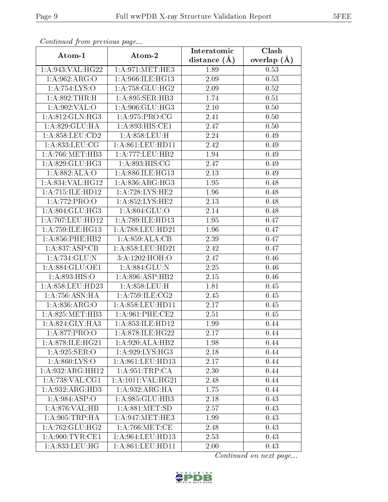| Continueu from previous page |                                      | Interatomic    | Clash           |
|------------------------------|--------------------------------------|----------------|-----------------|
| Atom-1                       | Atom-2                               | distance $(A)$ | overlap $(\AA)$ |
| 1:A:943:VAL:HG22             | 1: A:971: MET:HE3                    | 1.89           | 0.53            |
| 1: A:962: ARG:O              | 1: A:966: ILE: HG13                  | 2.09           | 0.53            |
| 1:A:754:LYS:O                | 1: A:758: GLU: HG2                   | 2.09           | 0.52            |
| 1:A:892:THR:H                | 1: A:895: SER: HB3                   | 1.74           | 0.51            |
| 1: A:902: VAL:O              | 1: A:906: GLU:HG3                    | 2.10           | 0.50            |
| 1: A:812: GLN: HG3           | 1:A:975:PRO:CG                       | 2.41           | 0.50            |
| 1: A:829: GLU: HA            | 1: A:893:HIS:CE1                     | 2.47           | 0.50            |
| 1: A:858:LEU:CD2             | 1:A:858:LEU:H                        | 2.24           | 0.49            |
| 1: A: 833: LEU: CG           | 1:A:861:LEU:HD11                     | 2.42           | 0.49            |
| 1: A:766:MET:HB3             | 1: A:777:LEU:HB2                     | 1.94           | 0.49            |
| 1:A:829:GLU:HG3              | 1: A:893:HIS:CG                      | 2.47           | 0.49            |
| 1:A:882:ALA:O                | 1: A:886: ILE: HG13                  | 2.13           | 0.49            |
| 1:A:834:VAL:HG12             | 1: A:836:ARG:HG3                     | 1.95           | 0.48            |
| 1:A:715:ILE:HD12             | 1:A:728:LYS:HE2                      | 1.96           | 0.48            |
| 1:A:772:PRO:O                | 1: A:852: LYS: HE2                   | 2.13           | 0.48            |
| 1: A:804: GLU:HG3            | 1: A:804: GLU:O                      | 2.14           | 0.48            |
| 1:A:707:LEU:HD12             | 1:A:789:ILE:HD13                     | 1.95           | 0.47            |
| 1: A: 759: ILE: HG13         | 1:A:788:LEU:HD21                     | 1.96           | 0.47            |
| $1: A:856:$ PHE:HB2          | 1:A:859:ALA:CB                       | 2.39           | 0.47            |
| 1:A:837:ASP:CB               | 1: A:858: LEU: HD21                  | 2.42           | 0.47            |
| 1: A:734: GLU:N              | 3:A:1202:HOH:O                       | 2.47           | 0.46            |
| 1:A:884:GLU:OE1              | 1:A:884:GLU:N                        | 2.25           | 0.46            |
| 1: A:893: HIS:O              | 1: A:896: ASP:HB2                    | 2.15           | 0.46            |
| 1: A:858:LEU:HD23            | 1:A:858:LEU:H                        | 1.81           | 0.45            |
| 1: A:756: ASN: HA            | 1:A:759:ILE:CG2                      | 2.45           | 0.45            |
| 1: A:836: ARG:O              | 1:A:858:LEU:HD11                     | 2.17           | 0.45            |
| 1: A:825: MET:HB3            | 1: A:961:PHE:CE2                     | 2.51           | 0.45            |
| 1:A:824:GLY:HA3              | 1:A:853:ILE:HD12                     | 1.99           | 0.44            |
| 1: A:877: PRO:O              | 1: A:878: ILE:HG22                   | 2.17           | 0.44            |
| 1:A:878:ILE:HG21             | 1:A:920:ALA:HB2                      | 1.98           | 0.44            |
| 1:A:925:SER:O                | 1: A:929: LYS: HG3                   | 2.18           | 0.44            |
| 1:A:860:LYS:O                | $1:\overline{A}:861:\text{LEU}:HD13$ | 2.17           | 0.44            |
| 1:A:932:ARG:HH12             | 1: A:951:TRP:CA                      | 2.30           | 0.44            |
| 1:A:738:VAL:CG1              | 1:A:1011:VAL:HG21                    | 2.48           | 0.44            |
| 1:A:932:ARG:HD3              | 1: A:932: ARG: HA                    | 1.75           | 0.44            |
| 1: A:984: ASP:O              | 1:A:985:GLU:HB3                      | 2.18           | 0.43            |
| 1:A:876:VAL:HB               | 1: A:881: MET:SD                     | 2.57           | 0.43            |
| 1: A:905:TRP:HA              | 1:A:947:MET:HE3                      | 1.99           | 0.43            |
| 1: A:762: GLU:HG2            | 1: A:766: MET:CE                     | 2.48           | 0.43            |
| 1: A:900: TYR: CE1           | 1: A:964:LEU:HD13                    | 2.53           | 0.43            |
| 1: A: 833: LEU: HG           | 1:A:861:LEU:HD11                     | 2.00           | 0.43            |

Continued from previous page.

Continued on next page...

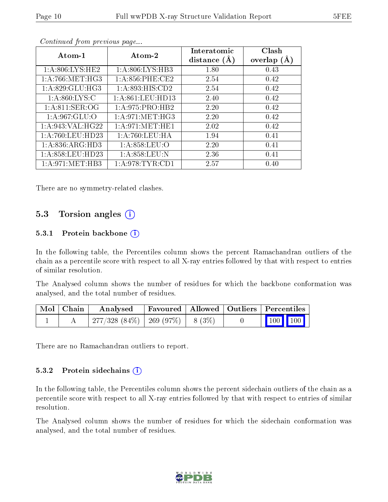| $Atom-1$           | Atom-2              | Interatomic<br>distance $(A)$ | Clash<br>overlap $(A)$ |
|--------------------|---------------------|-------------------------------|------------------------|
| 1: A:806: LYS: HE2 | 1: A:806: LYS:HB3   | 1.80                          | 0.43                   |
| 1: A:766: MET:HG3  | $1: A:856:$ PHE:CE2 | 2.54                          | 0.42                   |
| 1: A:829: GLU:HG3  | 1:A:893:HIS:CD2     | 2.54                          | 0.42                   |
| 1: A:860: LYS:C    | 1: A:861:LEU:HD13   | 2.40                          | 0.42                   |
| 1:A:811:SER:OG     | 1:A:975:PRO:HB2     | 2.20                          | 0.42                   |
| 1:A:967:GLU:O      | 1: A:971: MET:HG3   | 2.20                          | 0.42                   |
| 1:A:943:VAL:HG22   | 1: A:971: MET:HE1   | 2.02                          | 0.42                   |
| 1:A:760:LEU:HD23   | 1:A:760:LEU:HA      | 1.94                          | 0.41                   |
| 1: A:836: ARG:HD3  | 1: A:858: LEU:O     | 2.20                          | 0.41                   |
| 1: A:858: LEU:HD23 | 1: A:858:LEU:N      | 2.36                          | 0.41                   |
| 1: A:971:MET:HB3   | 1: A:978: TYR: CD1  | 2.57                          | 0.40                   |

Continued from previous page...

There are no symmetry-related clashes.

### 5.3 Torsion angles (i)

#### 5.3.1 Protein backbone  $(i)$

In the following table, the Percentiles column shows the percent Ramachandran outliers of the chain as a percentile score with respect to all X-ray entries followed by that with respect to entries of similar resolution.

The Analysed column shows the number of residues for which the backbone conformation was analysed, and the total number of residues.

| Mol   Chain | $\boldsymbol{\mathrm{Analysed}}$        | Favoured   Allowed   Outliers   Percentiles |  |                         |
|-------------|-----------------------------------------|---------------------------------------------|--|-------------------------|
|             | $277/328$ (84\%)   269 (97\%)   8 (3\%) |                                             |  | $\vert$ 100 100 $\vert$ |

There are no Ramachandran outliers to report.

#### 5.3.2 Protein sidechains  $\left( \widehat{\mathbf{i}} \right)$

In the following table, the Percentiles column shows the percent sidechain outliers of the chain as a percentile score with respect to all X-ray entries followed by that with respect to entries of similar resolution.

The Analysed column shows the number of residues for which the sidechain conformation was analysed, and the total number of residues.

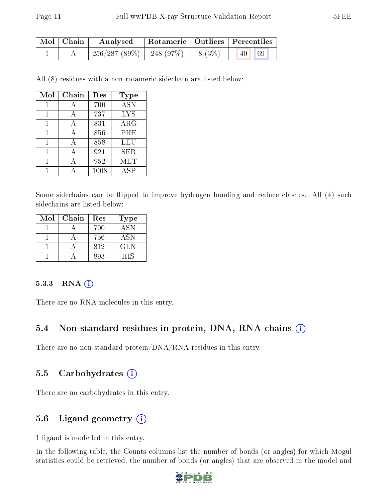| Mol   Chain | Analysed                     |          | Rotameric   Outliers   Percentiles |            |
|-------------|------------------------------|----------|------------------------------------|------------|
|             | $256/287(89\%)$   248 (97\%) | $8(3\%)$ | 40                                 | $\big  69$ |

All (8) residues with a non-rotameric sidechain are listed below:

| Mol | Chain | Res  | <b>Type</b>      |
|-----|-------|------|------------------|
| 1   | А     | 700  | $\overline{ASN}$ |
| 1   | А     | 737  | <b>LYS</b>       |
| 1   | А     | 831  | $\rm{ARG}$       |
| 1   |       | 856  | PHE              |
|     |       | 858  | <b>LEU</b>       |
|     |       | 921  | <b>SER</b>       |
|     |       | 952  | <b>MET</b>       |
|     |       | 1008 | ASP              |

Some sidechains can be flipped to improve hydrogen bonding and reduce clashes. All (4) such sidechains are listed below:

| Mol | Chain | Res | <b>Type</b> |
|-----|-------|-----|-------------|
|     |       | 700 | <b>ASN</b>  |
|     |       | 756 | ASN         |
|     |       | 812 | GLN         |
|     |       | 893 | HIS         |

#### 5.3.3 RNA [O](https://www.wwpdb.org/validation/2017/XrayValidationReportHelp#rna)i

There are no RNA molecules in this entry.

#### 5.4 Non-standard residues in protein, DNA, RNA chains (i)

There are no non-standard protein/DNA/RNA residues in this entry.

#### 5.5 Carbohydrates (i)

There are no carbohydrates in this entry.

#### 5.6 Ligand geometry (i)

1 ligand is modelled in this entry.

In the following table, the Counts columns list the number of bonds (or angles) for which Mogul statistics could be retrieved, the number of bonds (or angles) that are observed in the model and

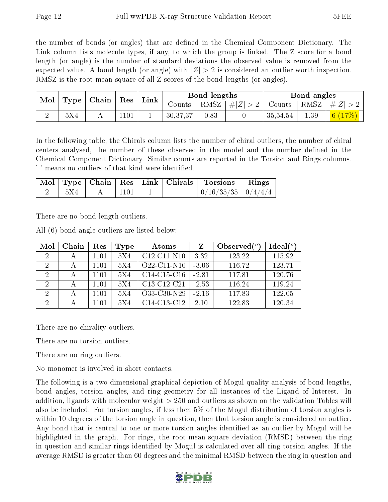the number of bonds (or angles) that are defined in the Chemical Component Dictionary. The Link column lists molecule types, if any, to which the group is linked. The Z score for a bond length (or angle) is the number of standard deviations the observed value is removed from the expected value. A bond length (or angle) with  $|Z| > 2$  is considered an outlier worth inspection. RMSZ is the root-mean-square of all Z scores of the bond lengths (or angles).

|   | Mol<br>Type |  |      | $\mid$ Chain $\mid$ Res |          |      |                    |          |      |                                  |  | Link |  | Bond lengths<br>Bond angles |  |  |  |
|---|-------------|--|------|-------------------------|----------|------|--------------------|----------|------|----------------------------------|--|------|--|-----------------------------|--|--|--|
|   |             |  |      |                         | Counts   |      | RMSZ   $\# Z  > 2$ |          |      | Counts   RMSZ $\vert \#  Z  > 2$ |  |      |  |                             |  |  |  |
| ↵ | 5X4         |  | .101 |                         | 30,37,37 | 0.83 |                    | 35,54,54 | 1.39 | 6 $(17%)$                        |  |      |  |                             |  |  |  |

In the following table, the Chirals column lists the number of chiral outliers, the number of chiral centers analysed, the number of these observed in the model and the number defined in the Chemical Component Dictionary. Similar counts are reported in the Torsion and Rings columns. '-' means no outliers of that kind were identified.

|     |                  |        | Mol   Type   Chain   Res   Link   Chirals   Torsions   Rings |  |
|-----|------------------|--------|--------------------------------------------------------------|--|
| 5X4 | $\frac{1101}{ }$ | $\sim$ | $0/16/35/35$   $0/4/4/4$                                     |  |

There are no bond length outliers.

All (6) bond angle outliers are listed below:

| Mol | Chain | Res  | Type | Atoms                                             |         | Observed $(°)$ | $\text{Ideal}({}^o)$ |
|-----|-------|------|------|---------------------------------------------------|---------|----------------|----------------------|
|     |       | 1101 | 5X4  | $C12-C11-N10$                                     | 3.32    | 123.22         | 115.92               |
| 2   |       | 1101 | 5X4  | $O22$ -C11-N10                                    | $-3.06$ | 116.72         | 123.71               |
|     |       | 1101 | 5X4  | $C14-C15-C16$                                     | $-2.81$ | 117.81         | 120.76               |
| 2   |       | 1101 | 5X4  | C13-C12-C21                                       | $-2.53$ | 116.24         | 119.24               |
| 2   |       | 1101 | 5X4  | O33-C30-N29                                       | $-2.16$ | 117.83         | 122.05               |
| റ   |       | 1101 | 5X4  | C <sub>14</sub> -C <sub>13</sub> -C <sub>12</sub> | 2.10    | 122.83         | 120.34               |

There are no chirality outliers.

There are no torsion outliers.

There are no ring outliers.

No monomer is involved in short contacts.

The following is a two-dimensional graphical depiction of Mogul quality analysis of bond lengths, bond angles, torsion angles, and ring geometry for all instances of the Ligand of Interest. In addition, ligands with molecular weight > 250 and outliers as shown on the validation Tables will also be included. For torsion angles, if less then 5% of the Mogul distribution of torsion angles is within 10 degrees of the torsion angle in question, then that torsion angle is considered an outlier. Any bond that is central to one or more torsion angles identified as an outlier by Mogul will be highlighted in the graph. For rings, the root-mean-square deviation (RMSD) between the ring in question and similar rings identified by Mogul is calculated over all ring torsion angles. If the average RMSD is greater than 60 degrees and the minimal RMSD between the ring in question and

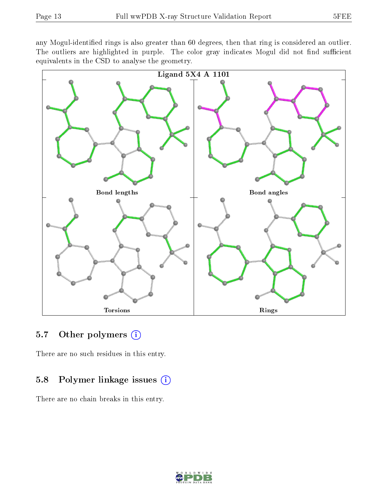any Mogul-identified rings is also greater than 60 degrees, then that ring is considered an outlier. The outliers are highlighted in purple. The color gray indicates Mogul did not find sufficient equivalents in the CSD to analyse the geometry.



#### 5.7 [O](https://www.wwpdb.org/validation/2017/XrayValidationReportHelp#nonstandard_residues_and_ligands)ther polymers  $(i)$

There are no such residues in this entry.

### 5.8 Polymer linkage issues (i)

There are no chain breaks in this entry.

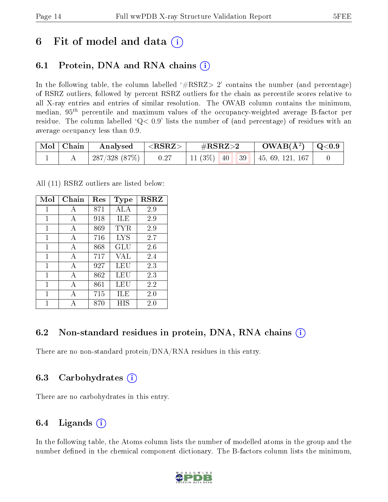## 6 Fit of model and data  $\left( \cdot \right)$

### 6.1 Protein, DNA and RNA chains (i)

In the following table, the column labelled  $#RSRZ>2'$  contains the number (and percentage) of RSRZ outliers, followed by percent RSRZ outliers for the chain as percentile scores relative to all X-ray entries and entries of similar resolution. The OWAB column contains the minimum, median,  $95<sup>th</sup>$  percentile and maximum values of the occupancy-weighted average B-factor per residue. The column labelled  $Q< 0.9$  lists the number of (and percentage) of residues with an average occupancy less than 0.9.

| $\mid$ Mol $\mid$ Chain | Analysed     | $^\shortparallel < \rm{RSRZ} >$ | $\rm \#RSRZ{>}2$ |  | $\rm{OWAB}(\AA^2)$ $\vert$ Q<0.9      |  |
|-------------------------|--------------|---------------------------------|------------------|--|---------------------------------------|--|
|                         | 287/328(87%) | 0.27                            |                  |  | 11 (3\%)   40   39   45, 69, 121, 167 |  |

All (11) RSRZ outliers are listed below:

| Mol | Chain        | Res | <b>Type</b> | <b>RSRZ</b> |
|-----|--------------|-----|-------------|-------------|
| 1   | A            | 871 | ALA         | 2.9         |
| 1   | A            | 918 | ILE         | 2.9         |
| 1   | A            | 869 | TYR         | 2.9         |
| 1   | A            | 716 | LYS         | 2.7         |
| 1   | A            | 868 | GLU         | 2.6         |
| 1   | A            | 717 | VAL         | 2.4         |
| 1   | $\mathbf{A}$ | 927 | LEU         | 2.3         |
| 1   | A            | 862 | LEU         | 2.3         |
| 1   | А            | 861 | LEU         | 2.2         |
| 1   | A            | 715 | ILE         | 2.0         |
|     |              | 870 | НIS         | 2.0         |

### 6.2 Non-standard residues in protein, DNA, RNA chains (i)

There are no non-standard protein/DNA/RNA residues in this entry.

#### 6.3 Carbohydrates (i)

There are no carbohydrates in this entry.

### 6.4 Ligands  $(i)$

In the following table, the Atoms column lists the number of modelled atoms in the group and the number defined in the chemical component dictionary. The B-factors column lists the minimum,